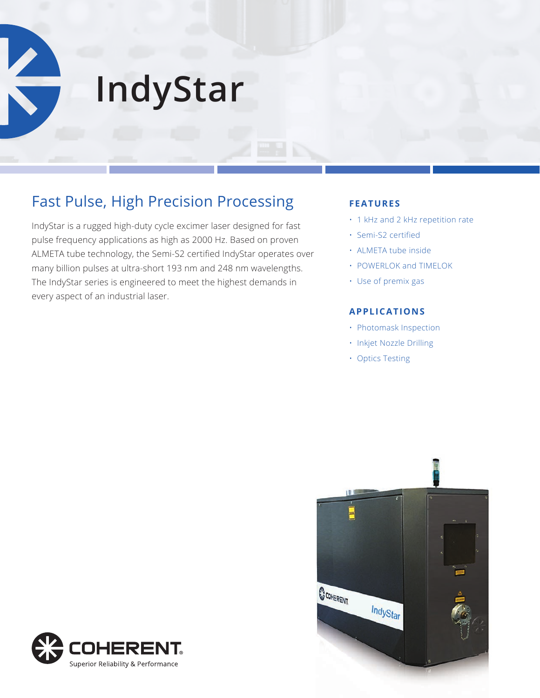**IndyStar**

# Fast Pulse, High Precision Processing

IndyStar is a rugged high-duty cycle excimer laser designed for fast pulse frequency applications as high as 2000 Hz. Based on proven ALMETA tube technology, the Semi-S2 certified IndyStar operates over many billion pulses at ultra-short 193 nm and 248 nm wavelengths. The IndyStar series is engineered to meet the highest demands in every aspect of an industrial laser.

# **FEATURES**

- 1 kHz and 2 kHz repetition rate
- Semi-S2 certified
- ALMETA tube inside
- POWERLOK and TIMELOK
- Use of premix gas

# **APPLICATIONS**

- Photomask Inspection
- Inkjet Nozzle Drilling
- Optics Testing



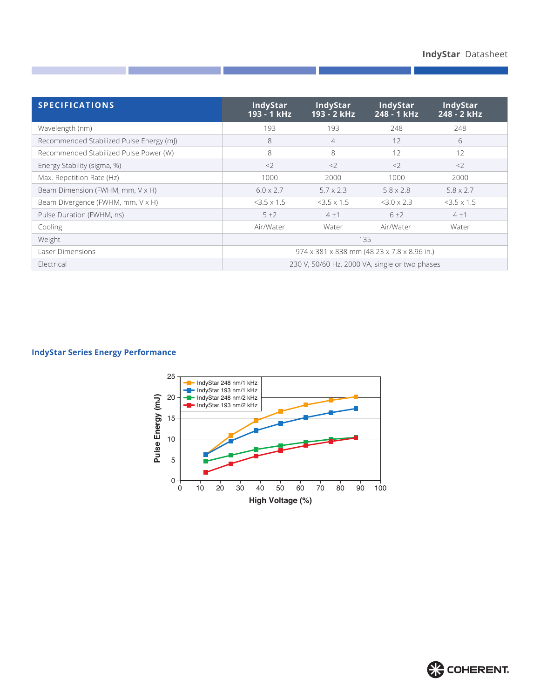| <b>SPECIFICATIONS</b>                    | <b>IndyStar</b><br>193 - 1 kHz                 | <b>IndyStar</b><br>193 - 2 kHz | <b>IndyStar</b><br>248 - 1 kHz | <b>IndyStar</b><br>248 - 2 kHz |
|------------------------------------------|------------------------------------------------|--------------------------------|--------------------------------|--------------------------------|
| Wavelength (nm)                          | 193                                            | 193                            | 248                            | 248                            |
| Recommended Stabilized Pulse Energy (mJ) | 8                                              | $\overline{4}$                 | 12                             | 6                              |
| Recommended Stabilized Pulse Power (W)   | 8                                              | 8                              | 12                             | 12                             |
| Energy Stability (sigma, %)              | <                                              | $\langle$                      | $\langle$                      | <                              |
| Max. Repetition Rate (Hz)                | 1000                                           | 2000                           | 1000                           | 2000                           |
| Beam Dimension (FWHM, mm, V x H)         | $6.0 \times 2.7$                               | $5.7 \times 2.3$               | $5.8 \times 2.8$               | $5.8 \times 2.7$               |
| Beam Divergence (FWHM, mm, V x H)        | $3.5 \times 1.5$                               | $<$ 3.5 x 1.5                  | $3.0 \times 2.3$               | $<$ 3.5 $\times$ 1.5           |
| Pulse Duration (FWHM, ns)                | 5±2                                            | 4±1                            | 6±2                            | 4±1                            |
| Cooling                                  | Air/Water                                      | Water                          | Air/Water                      | Water                          |
| Weight                                   | 135                                            |                                |                                |                                |
| Laser Dimensions                         | 974 x 381 x 838 mm (48.23 x 7.8 x 8.96 in.)    |                                |                                |                                |
| Electrical                               | 230 V, 50/60 Hz, 2000 VA, single or two phases |                                |                                |                                |

# **IndyStar Series Energy Performance**